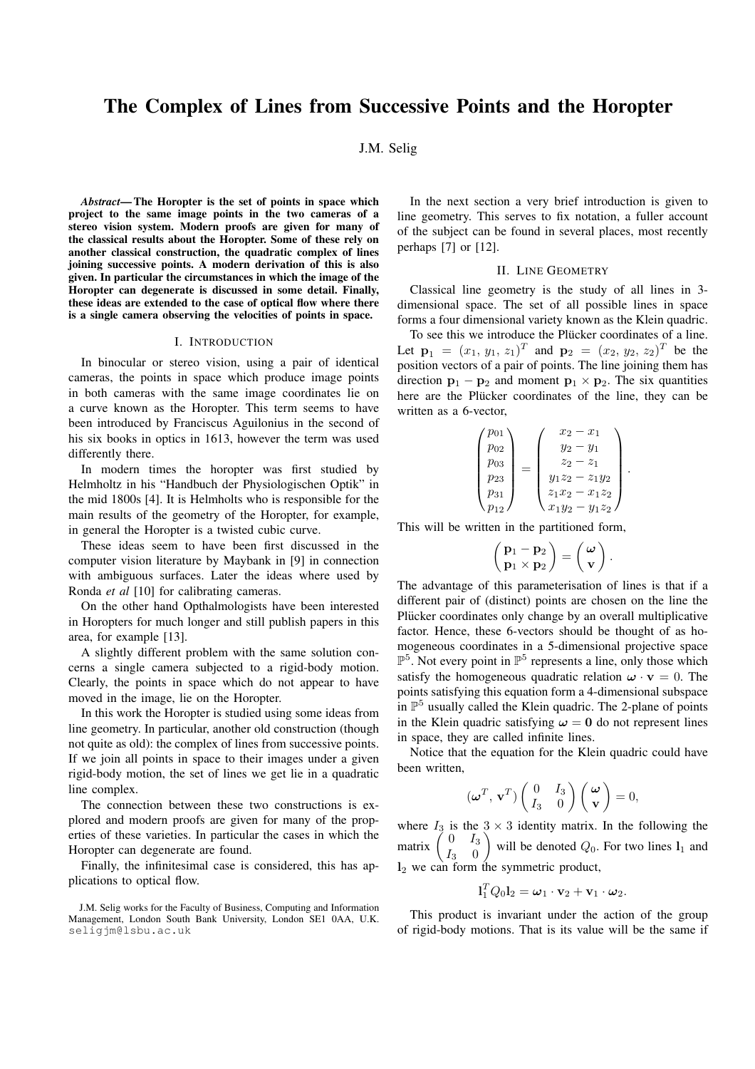# The Complex of Lines from Successive Points and the Horopter

# J.M. Selig

*Abstract*— The Horopter is the set of points in space which project to the same image points in the two cameras of a stereo vision system. Modern proofs are given for many of the classical results about the Horopter. Some of these rely on another classical construction, the quadratic complex of lines joining successive points. A modern derivation of this is also given. In particular the circumstances in which the image of the Horopter can degenerate is discussed in some detail. Finally, these ideas are extended to the case of optical flow where there is a single camera observing the velocities of points in space.

### I. INTRODUCTION

In binocular or stereo vision, using a pair of identical cameras, the points in space which produce image points in both cameras with the same image coordinates lie on a curve known as the Horopter. This term seems to have been introduced by Franciscus Aguilonius in the second of his six books in optics in 1613, however the term was used differently there.

In modern times the horopter was first studied by Helmholtz in his "Handbuch der Physiologischen Optik" in the mid 1800s [4]. It is Helmholts who is responsible for the main results of the geometry of the Horopter, for example, in general the Horopter is a twisted cubic curve.

These ideas seem to have been first discussed in the computer vision literature by Maybank in [9] in connection with ambiguous surfaces. Later the ideas where used by Ronda *et al* [10] for calibrating cameras.

On the other hand Opthalmologists have been interested in Horopters for much longer and still publish papers in this area, for example [13].

A slightly different problem with the same solution concerns a single camera subjected to a rigid-body motion. Clearly, the points in space which do not appear to have moved in the image, lie on the Horopter.

In this work the Horopter is studied using some ideas from line geometry. In particular, another old construction (though not quite as old): the complex of lines from successive points. If we join all points in space to their images under a given rigid-body motion, the set of lines we get lie in a quadratic line complex.

The connection between these two constructions is explored and modern proofs are given for many of the properties of these varieties. In particular the cases in which the Horopter can degenerate are found.

Finally, the infinitesimal case is considered, this has applications to optical flow.

In the next section a very brief introduction is given to line geometry. This serves to fix notation, a fuller account of the subject can be found in several places, most recently perhaps [7] or [12].

## II. LINE GEOMETRY

Classical line geometry is the study of all lines in 3 dimensional space. The set of all possible lines in space forms a four dimensional variety known as the Klein quadric.

To see this we introduce the Plücker coordinates of a line. Let  $\mathbf{p}_1 = (x_1, y_1, z_1)^T$  and  $\mathbf{p}_2 = (x_2, y_2, z_2)^T$  be the position vectors of a pair of points. The line joining them has direction  $\mathbf{p}_1 - \mathbf{p}_2$  and moment  $\mathbf{p}_1 \times \mathbf{p}_2$ . The six quantities here are the Plücker coordinates of the line, they can be written as a 6-vector,

$$
\begin{pmatrix} p_{01} \\ p_{02} \\ p_{03} \\ p_{23} \\ p_{31} \\ p_{12} \end{pmatrix} = \begin{pmatrix} x_2 - x_1 \\ y_2 - y_1 \\ z_2 - z_1 \\ y_1 z_2 - z_1 y_2 \\ z_1 x_2 - x_1 z_2 \\ x_1 y_2 - y_1 z_2 \end{pmatrix}.
$$

This will be written in the partitioned form,

$$
\left(\frac{\mathbf{p}_1-\mathbf{p}_2}{\mathbf{p}_1\times\mathbf{p}_2}\right)=\left(\begin{array}{c}\boldsymbol{\omega}\\ \mathbf{v}\end{array}\right).
$$

The advantage of this parameterisation of lines is that if a different pair of (distinct) points are chosen on the line the Plücker coordinates only change by an overall multiplicative factor. Hence, these 6-vectors should be thought of as homogeneous coordinates in a 5-dimensional projective space  $\mathbb{P}^5$ . Not every point in  $\mathbb{P}^5$  represents a line, only those which satisfy the homogeneous quadratic relation  $\mathbf{\omega} \cdot \mathbf{v} = 0$ . The points satisfying this equation form a 4-dimensional subspace in  $\mathbb{P}^5$  usually called the Klein quadric. The 2-plane of points in the Klein quadric satisfying  $\omega = 0$  do not represent lines in space, they are called infinite lines.

Notice that the equation for the Klein quadric could have been written,  $\overline{a}$  $\mathbf{r}$ 

$$
(\boldsymbol{\omega}^T, \mathbf{v}^T) \begin{pmatrix} 0 & I_3 \\ I_3 & 0 \end{pmatrix} \begin{pmatrix} \boldsymbol{\omega} \\ \mathbf{v} \end{pmatrix} = 0,
$$

where  $I_3$  is the  $3 \times 3$  identity matrix. In the following the where  $I_3$  is the<br>matrix  $\begin{pmatrix} 0 & I_3 \\ I_3 & 0 \end{pmatrix}$  $\begin{pmatrix} 0 & 13 \\ I_3 & 0 \end{pmatrix}$  will be denoted  $Q_0$ . For two lines  $I_1$  and  $l_2$  we can form the symmetric product,

$$
\mathbf{l}_1^T Q_0 \mathbf{l}_2 = \boldsymbol{\omega}_1 \cdot \mathbf{v}_2 + \mathbf{v}_1 \cdot \boldsymbol{\omega}_2.
$$

This product is invariant under the action of the group of rigid-body motions. That is its value will be the same if

J.M. Selig works for the Faculty of Business, Computing and Information Management, London South Bank University, London SE1 0AA, U.K. seligjm@lsbu.ac.uk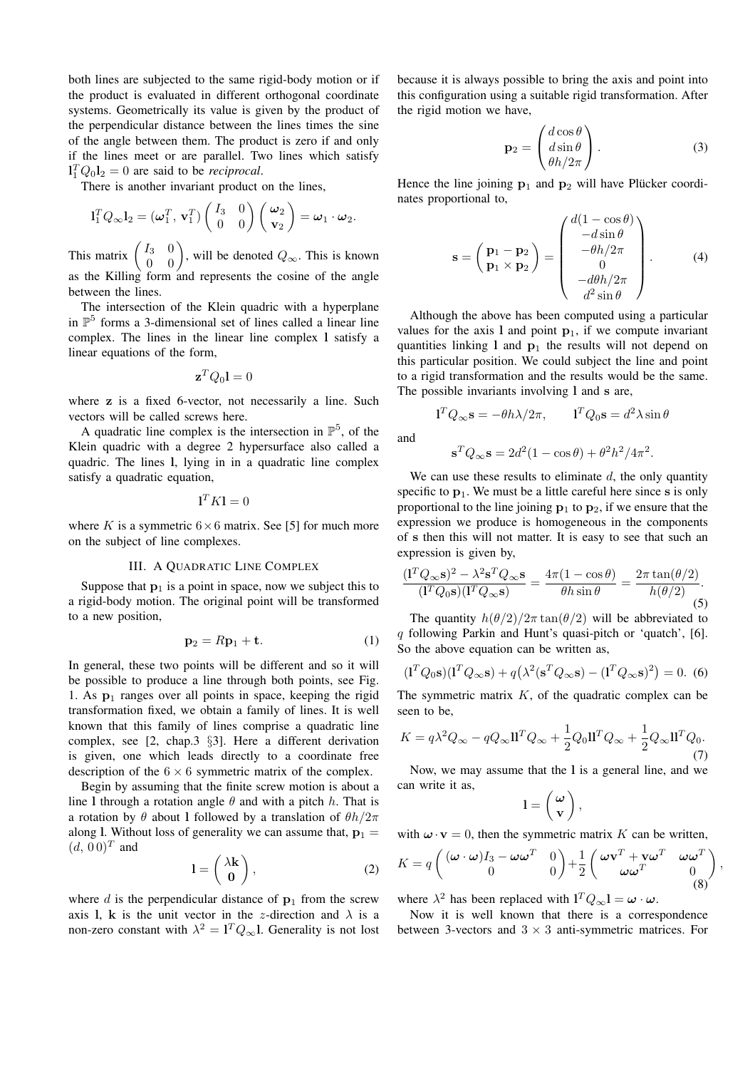both lines are subjected to the same rigid-body motion or if the product is evaluated in different orthogonal coordinate systems. Geometrically its value is given by the product of the perpendicular distance between the lines times the sine of the angle between them. The product is zero if and only if the lines meet or are parallel. Two lines which satisfy  $l_1^T Q_0 l_2 = 0$  are said to be *reciprocal*.

There is another invariant product on the lines,

$$
\mathbf{l}_1^T Q_\infty \mathbf{l}_2 = (\boldsymbol{\omega}_1^T, \mathbf{v}_1^T) \begin{pmatrix} I_3 & 0 \\ 0 & 0 \end{pmatrix} \begin{pmatrix} \boldsymbol{\omega}_2 \\ \mathbf{v}_2 \end{pmatrix} = \boldsymbol{\omega}_1 \cdot \boldsymbol{\omega}_2.
$$

This matrix  $\begin{pmatrix} I_3 & 0 \\ 0 & 0 \end{pmatrix}$  $\begin{pmatrix} I_3 & 0 \\ 0 & 0 \end{pmatrix}$ , will be denoted  $Q_{\infty}$ . This is known as the Killing form and represents the cosine of the angle between the lines.

The intersection of the Klein quadric with a hyperplane in  $\mathbb{P}^5$  forms a 3-dimensional set of lines called a linear line complex. The lines in the linear line complex l satisfy a linear equations of the form,

$$
\mathbf{z}^T Q_0 \mathbf{l} = 0
$$

where z is a fixed 6-vector, not necessarily a line. Such vectors will be called screws here.

A quadratic line complex is the intersection in  $\mathbb{P}^5$ , of the Klein quadric with a degree 2 hypersurface also called a quadric. The lines l, lying in in a quadratic line complex satisfy a quadratic equation,

$$
\mathbf{l}^T K \mathbf{l} = 0
$$

where K is a symmetric  $6 \times 6$  matrix. See [5] for much more on the subject of line complexes.

## III. A QUADRATIC LINE COMPLEX

Suppose that  $p_1$  is a point in space, now we subject this to a rigid-body motion. The original point will be transformed to a new position,

$$
\mathbf{p}_2 = R\mathbf{p}_1 + \mathbf{t}.\tag{1}
$$

In general, these two points will be different and so it will be possible to produce a line through both points, see Fig. 1. As  $p_1$  ranges over all points in space, keeping the rigid transformation fixed, we obtain a family of lines. It is well known that this family of lines comprise a quadratic line complex, see [2, chap.3 §3]. Here a different derivation is given, one which leads directly to a coordinate free description of the  $6 \times 6$  symmetric matrix of the complex.

Begin by assuming that the finite screw motion is about a line l through a rotation angle  $\theta$  and with a pitch h. That is a rotation by  $\theta$  about l followed by a translation of  $\theta h/2\pi$ along 1. Without loss of generality we can assume that,  $p_1 =$  $(d, 00)^T$  and  $\overline{a}$  $\mathbf{r}$ 

$$
l = \left(\begin{array}{c} \lambda \mathbf{k} \\ \mathbf{0} \end{array}\right),\tag{2}
$$

where  $d$  is the perpendicular distance of  $\mathbf{p}_1$  from the screw axis l, k is the unit vector in the z-direction and  $\lambda$  is a non-zero constant with  $\lambda^2 = I^T Q_{\infty} I$ . Generality is not lost

because it is always possible to bring the axis and point into this configuration using a suitable rigid transformation. After the rigid motion we have,  $\overline{\phantom{a}}$  $\mathbf{r}$ 

$$
\mathbf{p}_2 = \begin{pmatrix} d\cos\theta \\ d\sin\theta \\ \theta h/2\pi \end{pmatrix} . \tag{3}
$$

Hence the line joining  $p_1$  and  $p_2$  will have Plücker coordinates proportional to,

$$
\mathbf{s} = \begin{pmatrix} \mathbf{p}_1 - \mathbf{p}_2 \\ \mathbf{p}_1 \times \mathbf{p}_2 \end{pmatrix} = \begin{pmatrix} d(1 - \cos \theta) \\ -d \sin \theta \\ -\theta h/2\pi \\ 0 \\ -d\theta h/2\pi \\ d^2 \sin \theta \end{pmatrix} . \tag{4}
$$

Although the above has been computed using a particular values for the axis 1 and point  $p_1$ , if we compute invariant quantities linking 1 and  $p_1$  the results will not depend on this particular position. We could subject the line and point to a rigid transformation and the results would be the same. The possible invariants involving 1 and s are,

$$
\mathbf{1}^T Q_{\infty} \mathbf{s} = -\theta h \lambda / 2\pi, \qquad \mathbf{1}^T Q_0 \mathbf{s} = d^2 \lambda \sin \theta
$$

and

$$
\mathbf{s}^T Q_\infty \mathbf{s} = 2d^2(1 - \cos \theta) + \theta^2 h^2 / 4\pi^2.
$$

We can use these results to eliminate  $d$ , the only quantity specific to  $p_1$ . We must be a little careful here since s is only proportional to the line joining  $p_1$  to  $p_2$ , if we ensure that the expression we produce is homogeneous in the components of s then this will not matter. It is easy to see that such an expression is given by,

$$
\frac{(\mathbf{1}^T Q_\infty \mathbf{s})^2 - \lambda^2 \mathbf{s}^T Q_\infty \mathbf{s}}{(\mathbf{1}^T Q_0 \mathbf{s})(\mathbf{1}^T Q_\infty \mathbf{s})} = \frac{4\pi (1 - \cos \theta)}{\theta h \sin \theta} = \frac{2\pi \tan(\theta/2)}{h(\theta/2)}.
$$

The quantity  $h(\theta/2)/2\pi \tan(\theta/2)$  will be abbreviated to q following Parkin and Hunt's quasi-pitch or 'quatch', [6]. So the above equation can be written as,

$$
(\mathbf{1}^T Q_0 \mathbf{s})(\mathbf{1}^T Q_\infty \mathbf{s}) + q(\lambda^2 (\mathbf{s}^T Q_\infty \mathbf{s}) - (\mathbf{1}^T Q_\infty \mathbf{s})^2) = 0. \tag{6}
$$

The symmetric matrix  $K$ , of the quadratic complex can be seen to be,

$$
K = q\lambda^2 Q_{\infty} - qQ_{\infty} \mathbf{ll}^T Q_{\infty} + \frac{1}{2} Q_0 \mathbf{ll}^T Q_{\infty} + \frac{1}{2} Q_{\infty} \mathbf{ll}^T Q_0.
$$
\n(7)

Now, we may assume that the l is a general line, and we can write it as,  $\overline{a}$  $\mathbf{r}$ 

$$
l=\left(\begin{array}{c} \omega\\ \mathbf{v} \end{array}\right),\,
$$

with  $\mathbf{\omega} \cdot \mathbf{v} = 0$ , then the symmetric matrix K can be written,

$$
K = q \begin{pmatrix} (\omega \cdot \omega)I_3 - \omega \omega^T & 0 \\ 0 & 0 \end{pmatrix} + \frac{1}{2} \begin{pmatrix} \omega \mathbf{v}^T + \mathbf{v} \omega^T & \omega \omega^T \\ \omega \omega^T & 0 \\ 0 & 0 \end{pmatrix}
$$

,

where  $\lambda^2$  has been replaced with  $I^T Q_\infty I = \omega \cdot \omega$ .

Now it is well known that there is a correspondence between 3-vectors and  $3 \times 3$  anti-symmetric matrices. For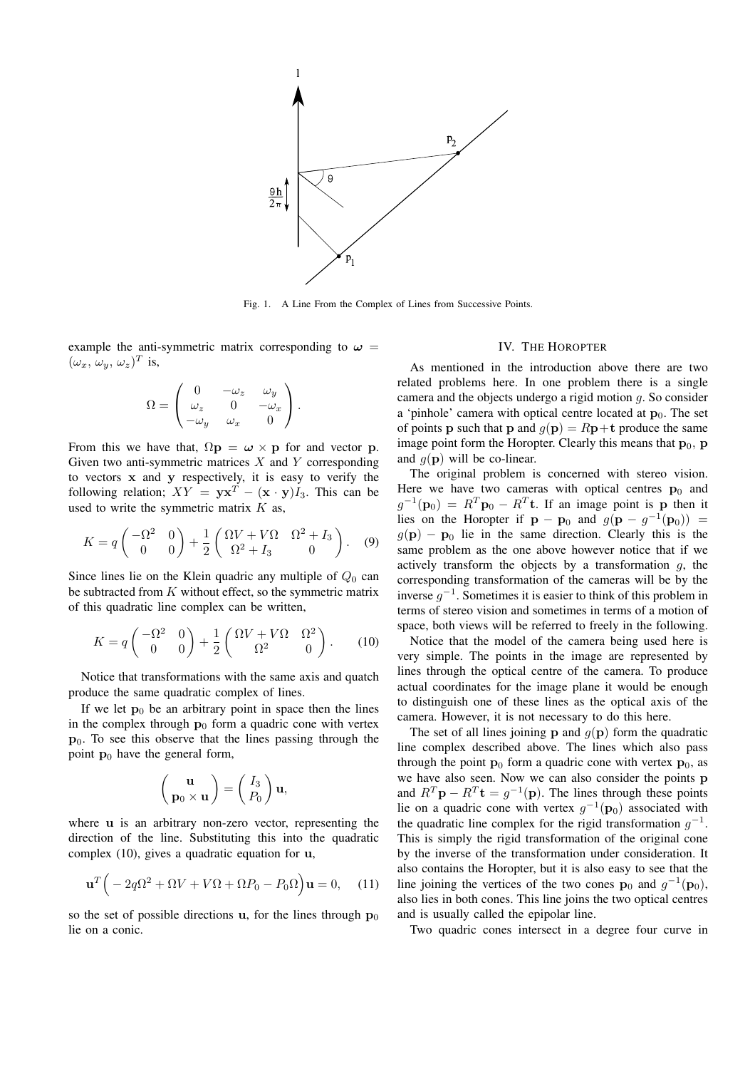

Fig. 1. A Line From the Complex of Lines from Successive Points.

example the anti-symmetric matrix corresponding to  $\omega =$  $(\omega_x, \, \omega_y, \, \omega_z)^T$  is,

$$
\Omega = \begin{pmatrix} 0 & -\omega_z & \omega_y \\ \omega_z & 0 & -\omega_x \\ -\omega_y & \omega_x & 0 \end{pmatrix}.
$$

From this we have that,  $\Omega$ **p** =  $\omega \times$ **p** for and vector **p**. Given two anti-symmetric matrices  $X$  and  $Y$  corresponding to vectors x and y respectively, it is easy to verify the following relation;  $XY = yx^T - (x \cdot y)I_3$ . This can be used to write the symmetric matrix  $K$  as,

$$
K = q \begin{pmatrix} -\Omega^2 & 0\\ 0 & 0 \end{pmatrix} + \frac{1}{2} \begin{pmatrix} \Omega V + V\Omega & \Omega^2 + I_3\\ \Omega^2 + I_3 & 0 \end{pmatrix}.
$$
 (9)

Since lines lie on the Klein quadric any multiple of  $Q_0$  can be subtracted from  $K$  without effect, so the symmetric matrix of this quadratic line complex can be written,

$$
K = q \begin{pmatrix} -\Omega^2 & 0\\ 0 & 0 \end{pmatrix} + \frac{1}{2} \begin{pmatrix} \Omega V + V\Omega & \Omega^2\\ \Omega^2 & 0 \end{pmatrix}.
$$
 (10)

Notice that transformations with the same axis and quatch produce the same quadratic complex of lines.

If we let  $p_0$  be an arbitrary point in space then the lines in the complex through  $\mathbf{p}_0$  form a quadric cone with vertex  $p_0$ . To see this observe that the lines passing through the point  $\mathbf{p}_0$  have the general form,

$$
\begin{pmatrix} \mathbf{u} \\ \mathbf{p}_0 \times \mathbf{u} \end{pmatrix} = \begin{pmatrix} I_3 \\ P_0 \end{pmatrix} \mathbf{u},
$$

where u is an arbitrary non-zero vector, representing the direction of the line. Substituting this into the quadratic complex (10), gives a quadratic equation for u,

$$
\mathbf{u}^T \Big( -2q\Omega^2 + \Omega V + V\Omega + \Omega P_0 - P_0\Omega \Big) \mathbf{u} = 0, \quad (11)
$$

so the set of possible directions u, for the lines through  $p_0$ lie on a conic.

## IV. THE HOROPTER

As mentioned in the introduction above there are two related problems here. In one problem there is a single camera and the objects undergo a rigid motion g. So consider a 'pinhole' camera with optical centre located at  $p_0$ . The set of points **p** such that **p** and  $q(\mathbf{p}) = R\mathbf{p} + \mathbf{t}$  produce the same image point form the Horopter. Clearly this means that  $\mathbf{p}_0$ ,  $\mathbf{p}$ and  $g(\mathbf{p})$  will be co-linear.

The original problem is concerned with stereo vision. Here we have two cameras with optical centres  $\mathbf{p}_0$  and  $g^{-1}(\mathbf{p}_0) = R^T \mathbf{p}_0 - R^T \mathbf{t}$ . If an image point is p then it lies on the Horopter if  $p - p_0$  and  $g(p - g^{-1}(p_0)) =$  $g(\mathbf{p}) - \mathbf{p}_0$  lie in the same direction. Clearly this is the same problem as the one above however notice that if we actively transform the objects by a transformation  $q$ , the corresponding transformation of the cameras will be by the inverse  $g^{-1}$ . Sometimes it is easier to think of this problem in terms of stereo vision and sometimes in terms of a motion of space, both views will be referred to freely in the following.

Notice that the model of the camera being used here is very simple. The points in the image are represented by lines through the optical centre of the camera. To produce actual coordinates for the image plane it would be enough to distinguish one of these lines as the optical axis of the camera. However, it is not necessary to do this here.

The set of all lines joining **p** and  $g(\mathbf{p})$  form the quadratic line complex described above. The lines which also pass through the point  $\mathbf{p}_0$  form a quadric cone with vertex  $\mathbf{p}_0$ , as we have also seen. Now we can also consider the points p and  $R^T \mathbf{p} - R^T \mathbf{t} = g^{-1}(\mathbf{p})$ . The lines through these points lie on a quadric cone with vertex  $g^{-1}(\mathbf{p}_0)$  associated with the quadratic line complex for the rigid transformation  $g^{-1}$ . This is simply the rigid transformation of the original cone by the inverse of the transformation under consideration. It also contains the Horopter, but it is also easy to see that the line joining the vertices of the two cones  $\mathbf{p}_0$  and  $g^{-1}(\mathbf{p}_0)$ , also lies in both cones. This line joins the two optical centres and is usually called the epipolar line.

Two quadric cones intersect in a degree four curve in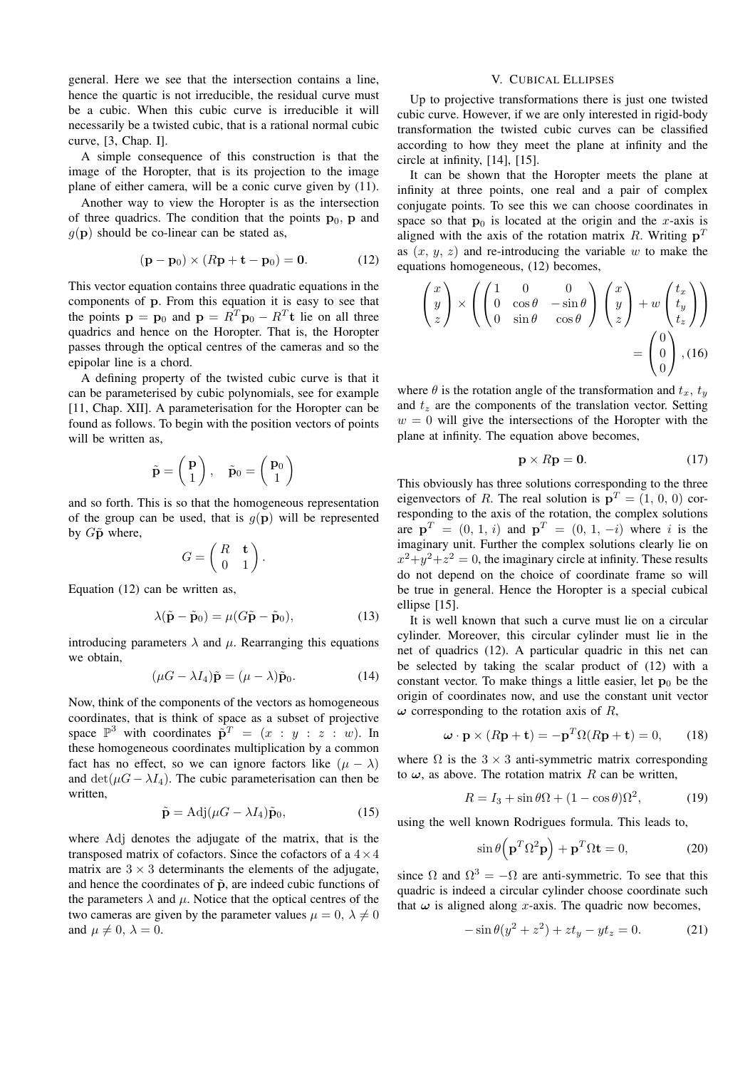general. Here we see that the intersection contains a line, hence the quartic is not irreducible, the residual curve must be a cubic. When this cubic curve is irreducible it will necessarily be a twisted cubic, that is a rational normal cubic curve, [3, Chap. I].

A simple consequence of this construction is that the image of the Horopter, that is its projection to the image plane of either camera, will be a conic curve given by (11).

Another way to view the Horopter is as the intersection of three quadrics. The condition that the points  $\mathbf{p}_0$ , p and  $g(\mathbf{p})$  should be co-linear can be stated as,

$$
(\mathbf{p} - \mathbf{p}_0) \times (R\mathbf{p} + \mathbf{t} - \mathbf{p}_0) = \mathbf{0}.\tag{12}
$$

This vector equation contains three quadratic equations in the components of p. From this equation it is easy to see that the points  $\mathbf{p} = \mathbf{p}_0$  and  $\mathbf{p} = R^T \mathbf{p}_0 - R^T \mathbf{t}$  lie on all three quadrics and hence on the Horopter. That is, the Horopter passes through the optical centres of the cameras and so the epipolar line is a chord.

A defining property of the twisted cubic curve is that it can be parameterised by cubic polynomials, see for example [11, Chap. XII]. A parameterisation for the Horopter can be found as follows. To begin with the position vectors of points will be written as,

$$
\tilde{\mathbf{p}} = \left(\begin{array}{c} \mathbf{p} \\ 1 \end{array}\right), \quad \tilde{\mathbf{p}}_0 = \left(\begin{array}{c} \mathbf{p}_0 \\ 1 \end{array}\right)
$$

and so forth. This is so that the homogeneous representation of the group can be used, that is  $q(\mathbf{p})$  will be represented by  $G\tilde{\mathbf{p}}$  where,  $\overline{a}$ 

$$
G = \begin{pmatrix} R & \mathbf{t} \\ 0 & 1 \end{pmatrix}.
$$

Equation (12) can be written as,

$$
\lambda(\tilde{\mathbf{p}} - \tilde{\mathbf{p}}_0) = \mu(G\tilde{\mathbf{p}} - \tilde{\mathbf{p}}_0),\tag{13}
$$

introducing parameters  $\lambda$  and  $\mu$ . Rearranging this equations we obtain,

$$
(\mu - \lambda I_4)\tilde{\mathbf{p}} = (\mu - \lambda)\tilde{\mathbf{p}}_0.
$$
 (14)

Now, think of the components of the vectors as homogeneous coordinates, that is think of space as a subset of projective space  $\mathbb{P}^3$  with coordinates  $\bar{\mathbf{p}}^T = (x : y : z : w)$ . In these homogeneous coordinates multiplication by a common fact has no effect, so we can ignore factors like  $(\mu - \lambda)$ and  $\det(\mu G - \lambda I_4)$ . The cubic parameterisation can then be written,

$$
\tilde{\mathbf{p}} = \text{Adj}(\mu G - \lambda I_4)\tilde{\mathbf{p}}_0,\tag{15}
$$

where Adj denotes the adjugate of the matrix, that is the transposed matrix of cofactors. Since the cofactors of a  $4 \times 4$ matrix are  $3 \times 3$  determinants the elements of the adjugate, and hence the coordinates of  $\tilde{p}$ , are indeed cubic functions of the parameters  $\lambda$  and  $\mu$ . Notice that the optical centres of the two cameras are given by the parameter values  $\mu = 0, \lambda \neq 0$ and  $\mu \neq 0$ ,  $\lambda = 0$ .

# V. CUBICAL ELLIPSES

Up to projective transformations there is just one twisted cubic curve. However, if we are only interested in rigid-body transformation the twisted cubic curves can be classified according to how they meet the plane at infinity and the circle at infinity, [14], [15].

It can be shown that the Horopter meets the plane at infinity at three points, one real and a pair of complex conjugate points. To see this we can choose coordinates in space so that  $p_0$  is located at the origin and the x-axis is aligned with the axis of the rotation matrix R. Writing  $p<sup>T</sup>$ as  $(x, y, z)$  and re-introducing the variable w to make the equations homogeneous, (12) becomes,

$$
\begin{pmatrix} x \\ y \\ z \end{pmatrix} \times \left( \begin{pmatrix} 1 & 0 & 0 \\ 0 & \cos \theta & -\sin \theta \\ 0 & \sin \theta & \cos \theta \end{pmatrix} \begin{pmatrix} x \\ y \\ z \end{pmatrix} + w \begin{pmatrix} t_x \\ t_y \\ t_z \end{pmatrix} \right)
$$

$$
= \begin{pmatrix} 0 \\ 0 \\ 0 \end{pmatrix}, (16)
$$

where  $\theta$  is the rotation angle of the transformation and  $t_x$ ,  $t_y$ and  $t<sub>z</sub>$  are the components of the translation vector. Setting  $w = 0$  will give the intersections of the Horopter with the plane at infinity. The equation above becomes,

$$
\mathbf{p} \times R\mathbf{p} = \mathbf{0}.\tag{17}
$$

This obviously has three solutions corresponding to the three eigenvectors of R. The real solution is  $\mathbf{p}^T = (1, 0, 0)$  corresponding to the axis of the rotation, the complex solutions are  $\mathbf{p}^T = (0, 1, i)$  and  $\mathbf{p}^T = (0, 1, -i)$  where i is the imaginary unit. Further the complex solutions clearly lie on  $x^2+y^2+z^2=0$ , the imaginary circle at infinity. These results do not depend on the choice of coordinate frame so will be true in general. Hence the Horopter is a special cubical ellipse [15].

It is well known that such a curve must lie on a circular cylinder. Moreover, this circular cylinder must lie in the net of quadrics (12). A particular quadric in this net can be selected by taking the scalar product of (12) with a constant vector. To make things a little easier, let  $p_0$  be the origin of coordinates now, and use the constant unit vector  $\omega$  corresponding to the rotation axis of R,

$$
\boldsymbol{\omega} \cdot \mathbf{p} \times (R\mathbf{p} + \mathbf{t}) = -\mathbf{p}^T \Omega(R\mathbf{p} + \mathbf{t}) = 0, \qquad (18)
$$

where  $\Omega$  is the 3  $\times$  3 anti-symmetric matrix corresponding to  $\omega$ , as above. The rotation matrix R can be written,

$$
R = I_3 + \sin \theta \Omega + (1 - \cos \theta) \Omega^2, \tag{19}
$$

using the well known Rodrigues formula. This leads to,

$$
\sin \theta \left( \mathbf{p}^T \Omega^2 \mathbf{p} \right) + \mathbf{p}^T \Omega \mathbf{t} = 0, \tag{20}
$$

since  $\Omega$  and  $\Omega^3 = -\Omega$  are anti-symmetric. To see that this quadric is indeed a circular cylinder choose coordinate such that  $\omega$  is aligned along x-axis. The quadric now becomes,

$$
-\sin\theta(y^2 + z^2) + zt_y - yt_z = 0.
$$
 (21)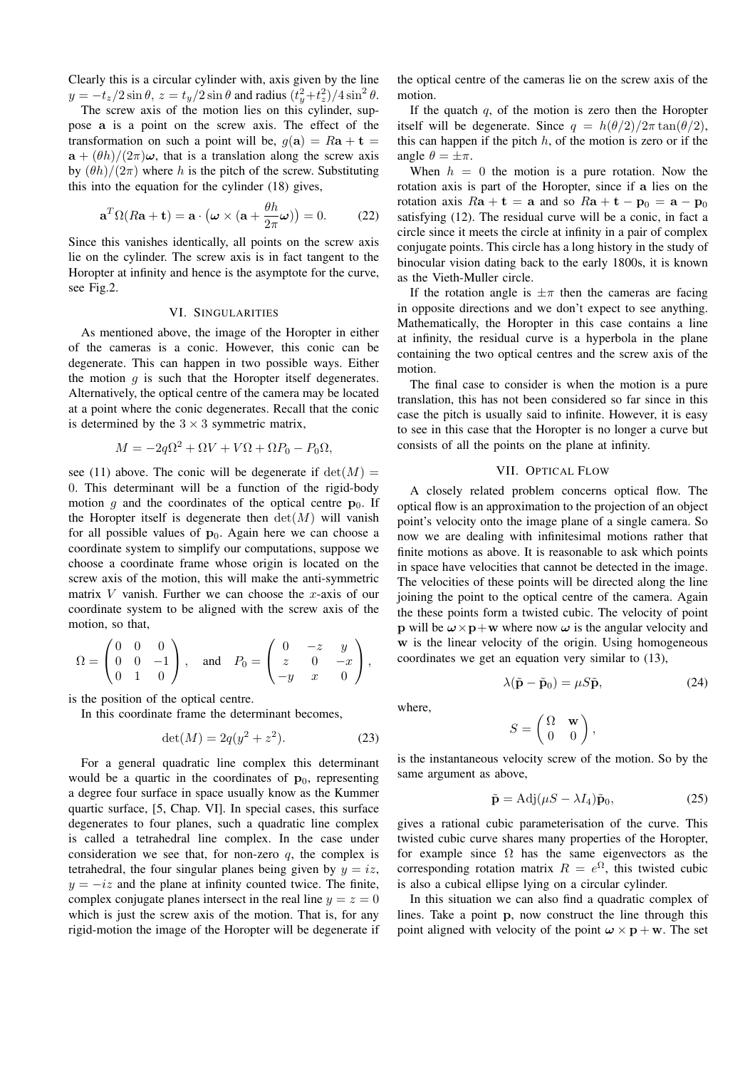Clearly this is a circular cylinder with, axis given by the line  $y = -t_z/2 \sin \theta$ ,  $z = t_y/2 \sin \theta$  and radius  $(t_y^2 + t_z^2)/4 \sin^2 \theta$ .

The screw axis of the motion lies on this cylinder, suppose a is a point on the screw axis. The effect of the transformation on such a point will be,  $g(\mathbf{a}) = R\mathbf{a} + \mathbf{t} =$  $a + (\theta h)/(2\pi)\omega$ , that is a translation along the screw axis by  $(\theta h)/(2\pi)$  where h is the pitch of the screw. Substituting this into the equation for the cylinder (18) gives,

$$
\mathbf{a}^T \Omega(R\mathbf{a} + \mathbf{t}) = \mathbf{a} \cdot (\boldsymbol{\omega} \times (\mathbf{a} + \frac{\theta h}{2\pi} \boldsymbol{\omega})) = 0. \quad (22)
$$

Since this vanishes identically, all points on the screw axis lie on the cylinder. The screw axis is in fact tangent to the Horopter at infinity and hence is the asymptote for the curve, see Fig.2.

# VI. SINGULARITIES

As mentioned above, the image of the Horopter in either of the cameras is a conic. However, this conic can be degenerate. This can happen in two possible ways. Either the motion  $g$  is such that the Horopter itself degenerates. Alternatively, the optical centre of the camera may be located at a point where the conic degenerates. Recall that the conic is determined by the  $3 \times 3$  symmetric matrix,

$$
M = -2q\Omega^2 + \Omega V + V\Omega + \Omega P_0 - P_0\Omega,
$$

see (11) above. The conic will be degenerate if  $det(M)$  = 0. This determinant will be a function of the rigid-body motion g and the coordinates of the optical centre  $p_0$ . If the Horopter itself is degenerate then  $det(M)$  will vanish for all possible values of  $\mathbf{p}_0$ . Again here we can choose a coordinate system to simplify our computations, suppose we choose a coordinate frame whose origin is located on the screw axis of the motion, this will make the anti-symmetric matrix  $V$  vanish. Further we can choose the x-axis of our coordinate system to be aligned with the screw axis of the motion, so that,  $\frac{1}{\sqrt{2}}$  $\mathbf{r}$  $\overline{\phantom{a}}$  $\mathbf{r}$ 

$$
\Omega = \begin{pmatrix} 0 & 0 & 0 \\ 0 & 0 & -1 \\ 0 & 1 & 0 \end{pmatrix}, \text{ and } P_0 = \begin{pmatrix} 0 & -z & y \\ z & 0 & -x \\ -y & x & 0 \end{pmatrix},
$$

is the position of the optical centre.

In this coordinate frame the determinant becomes,

$$
\det(M) = 2q(y^2 + z^2). \tag{23}
$$

For a general quadratic line complex this determinant would be a quartic in the coordinates of  $\mathbf{p}_0$ , representing a degree four surface in space usually know as the Kummer quartic surface, [5, Chap. VI]. In special cases, this surface degenerates to four planes, such a quadratic line complex is called a tetrahedral line complex. In the case under consideration we see that, for non-zero  $q$ , the complex is tetrahedral, the four singular planes being given by  $y = iz$ .  $y = -iz$  and the plane at infinity counted twice. The finite, complex conjugate planes intersect in the real line  $y = z = 0$ which is just the screw axis of the motion. That is, for any rigid-motion the image of the Horopter will be degenerate if

the optical centre of the cameras lie on the screw axis of the motion.

If the quatch  $q$ , of the motion is zero then the Horopter itself will be degenerate. Since  $q = h(\theta/2)/2\pi \tan(\theta/2)$ , this can happen if the pitch  $h$ , of the motion is zero or if the angle  $\theta = \pm \pi$ .

When  $h = 0$  the motion is a pure rotation. Now the rotation axis is part of the Horopter, since if a lies on the rotation axis  $Ra + t = a$  and so  $Ra + t - p_0 = a - p_0$ satisfying (12). The residual curve will be a conic, in fact a circle since it meets the circle at infinity in a pair of complex conjugate points. This circle has a long history in the study of binocular vision dating back to the early 1800s, it is known as the Vieth-Muller circle.

If the rotation angle is  $\pm \pi$  then the cameras are facing in opposite directions and we don't expect to see anything. Mathematically, the Horopter in this case contains a line at infinity, the residual curve is a hyperbola in the plane containing the two optical centres and the screw axis of the motion.

The final case to consider is when the motion is a pure translation, this has not been considered so far since in this case the pitch is usually said to infinite. However, it is easy to see in this case that the Horopter is no longer a curve but consists of all the points on the plane at infinity.

#### VII. OPTICAL FLOW

A closely related problem concerns optical flow. The optical flow is an approximation to the projection of an object point's velocity onto the image plane of a single camera. So now we are dealing with infinitesimal motions rather that finite motions as above. It is reasonable to ask which points in space have velocities that cannot be detected in the image. The velocities of these points will be directed along the line joining the point to the optical centre of the camera. Again the these points form a twisted cubic. The velocity of point **p** will be  $\omega \times \mathbf{p} + \mathbf{w}$  where now  $\omega$  is the angular velocity and w is the linear velocity of the origin. Using homogeneous coordinates we get an equation very similar to (13),

$$
\lambda(\tilde{\mathbf{p}} - \tilde{\mathbf{p}}_0) = \mu S \tilde{\mathbf{p}},\tag{24}
$$

where,

$$
S = \begin{pmatrix} \Omega & \mathbf{w} \\ 0 & 0 \end{pmatrix},
$$

is the instantaneous velocity screw of the motion. So by the same argument as above,

$$
\tilde{\mathbf{p}} = \text{Adj}(\mu S - \lambda I_4)\tilde{\mathbf{p}}_0,\tag{25}
$$

gives a rational cubic parameterisation of the curve. This twisted cubic curve shares many properties of the Horopter, for example since  $\Omega$  has the same eigenvectors as the corresponding rotation matrix  $R = e^{\Omega}$ , this twisted cubic is also a cubical ellipse lying on a circular cylinder.

In this situation we can also find a quadratic complex of lines. Take a point p, now construct the line through this point aligned with velocity of the point  $\omega \times p + w$ . The set